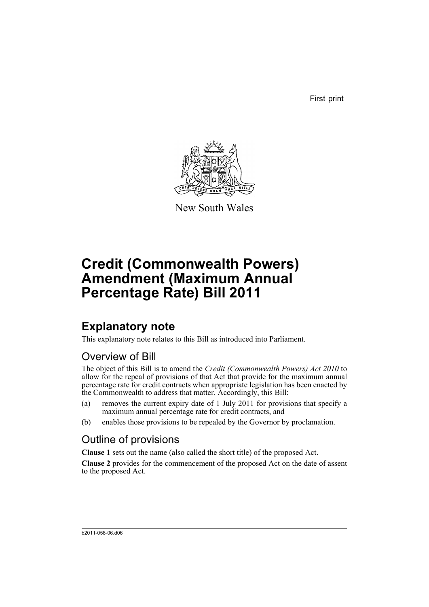First print



New South Wales

# **Credit (Commonwealth Powers) Amendment (Maximum Annual Percentage Rate) Bill 2011**

### **Explanatory note**

This explanatory note relates to this Bill as introduced into Parliament.

#### Overview of Bill

The object of this Bill is to amend the *Credit (Commonwealth Powers) Act 2010* to allow for the repeal of provisions of that Act that provide for the maximum annual percentage rate for credit contracts when appropriate legislation has been enacted by the Commonwealth to address that matter. Accordingly, this Bill:

- (a) removes the current expiry date of 1 July 2011 for provisions that specify a maximum annual percentage rate for credit contracts, and
- (b) enables those provisions to be repealed by the Governor by proclamation.

#### Outline of provisions

**Clause 1** sets out the name (also called the short title) of the proposed Act.

**Clause 2** provides for the commencement of the proposed Act on the date of assent to the proposed Act.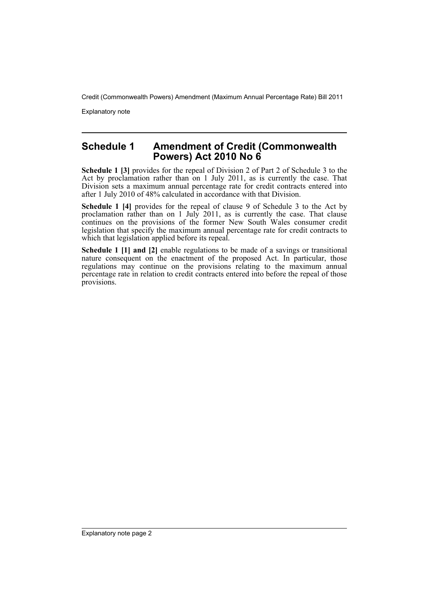Credit (Commonwealth Powers) Amendment (Maximum Annual Percentage Rate) Bill 2011

Explanatory note

#### **Schedule 1 Amendment of Credit (Commonwealth Powers) Act 2010 No 6**

**Schedule 1 [3]** provides for the repeal of Division 2 of Part 2 of Schedule 3 to the Act by proclamation rather than on 1 July 2011, as is currently the case. That Division sets a maximum annual percentage rate for credit contracts entered into after 1 July 2010 of 48% calculated in accordance with that Division.

**Schedule 1 [4]** provides for the repeal of clause 9 of Schedule 3 to the Act by proclamation rather than on 1 July 2011, as is currently the case. That clause continues on the provisions of the former New South Wales consumer credit legislation that specify the maximum annual percentage rate for credit contracts to which that legislation applied before its repeal.

**Schedule 1 [1] and [2]** enable regulations to be made of a savings or transitional nature consequent on the enactment of the proposed Act. In particular, those regulations may continue on the provisions relating to the maximum annual percentage rate in relation to credit contracts entered into before the repeal of those provisions.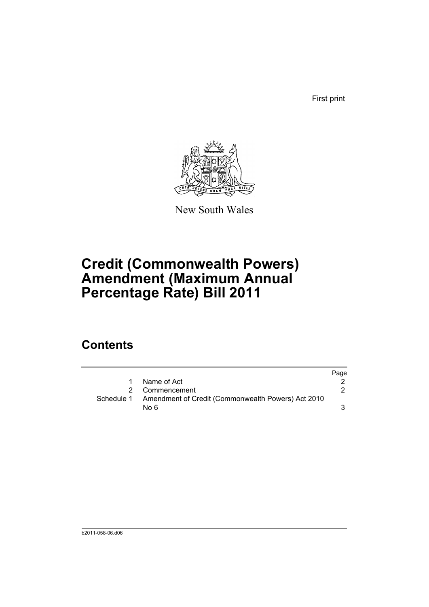First print



New South Wales

## **Credit (Commonwealth Powers) Amendment (Maximum Annual Percentage Rate) Bill 2011**

#### **Contents**

|             |                                                               | Page |
|-------------|---------------------------------------------------------------|------|
| $\mathbf 1$ | Name of Act                                                   |      |
|             | 2 Commencement                                                |      |
|             | Schedule 1 Amendment of Credit (Commonwealth Powers) Act 2010 |      |
|             | No 6                                                          |      |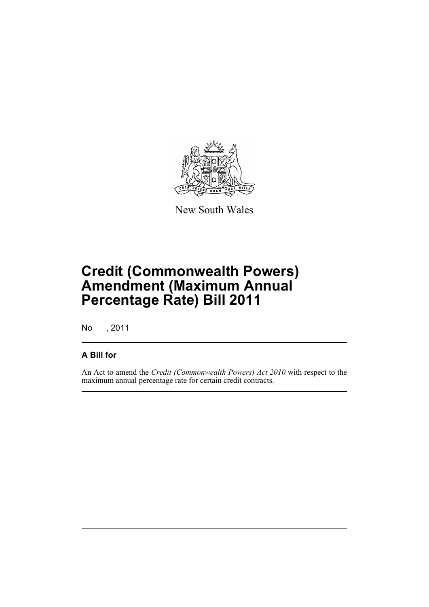

New South Wales

## **Credit (Commonwealth Powers) Amendment (Maximum Annual Percentage Rate) Bill 2011**

No , 2011

#### **A Bill for**

An Act to amend the *Credit (Commonwealth Powers) Act 2010* with respect to the maximum annual percentage rate for certain credit contracts.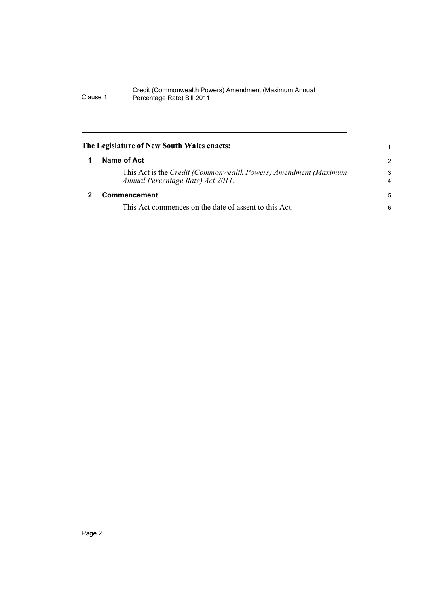#### Credit (Commonwealth Powers) Amendment (Maximum Annual Clause 1 Percentage Rate) Bill 2011

<span id="page-5-1"></span><span id="page-5-0"></span>

|   | The Legislature of New South Wales enacts:                                                           |                     |
|---|------------------------------------------------------------------------------------------------------|---------------------|
| 1 | Name of Act                                                                                          | 2                   |
|   | This Act is the Credit (Commonwealth Powers) Amendment (Maximum<br>Annual Percentage Rate) Act 2011. | 3<br>$\overline{4}$ |
|   | <b>Commencement</b>                                                                                  | 5                   |
|   | This Act commences on the date of assent to this Act.                                                | 6                   |